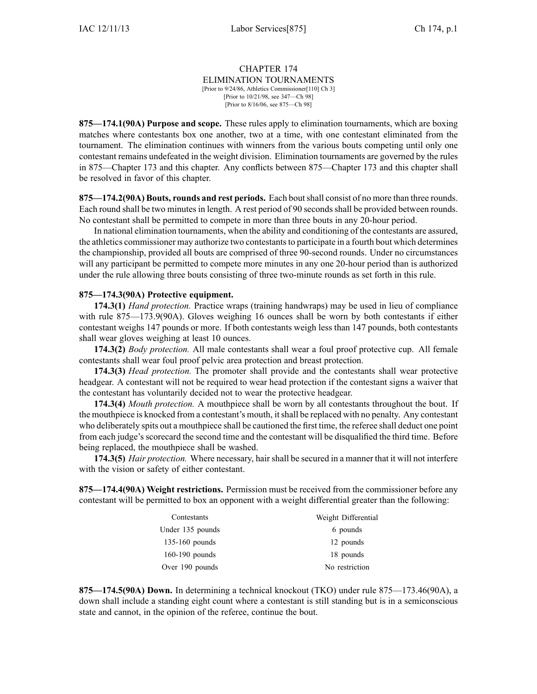## CHAPTER 174 ELIMINATION TOURNAMENTS [Prior to 9/24/86, Athletics Commissioner[110] Ch 3]

[Prior to 10/21/98, see 347—Ch 98] [Prior to 8/16/06, see 875—Ch 98]

**875—174.1(90A) Purpose and scope.** These rules apply to elimination tournaments, which are boxing matches where contestants box one another, two at <sup>a</sup> time, with one contestant eliminated from the tournament. The elimination continues with winners from the various bouts competing until only one contestant remains undefeated in the weight division. Elimination tournaments are governed by the rules in 875—Chapter 173 and this chapter. Any conflicts between 875—Chapter 173 and this chapter shall be resolved in favor of this chapter.

**875—174.2(90A) Bouts, rounds and rest periods.** Each boutshall consist of no more than three rounds. Each round shall be two minutes in length. A rest period of 90 seconds shall be provided between rounds. No contestant shall be permitted to compete in more than three bouts in any 20-hour period.

In national elimination tournaments, when the ability and conditioning of the contestants are assured, the athletics commissioner may authorize two contestantsto participate in <sup>a</sup> fourth bout which determines the championship, provided all bouts are comprised of three 90-second rounds. Under no circumstances will any participant be permitted to compete more minutes in any one 20-hour period than is authorized under the rule allowing three bouts consisting of three two-minute rounds as set forth in this rule.

## **875—174.3(90A) Protective equipment.**

**174.3(1)** *Hand protection.* Practice wraps (training handwraps) may be used in lieu of compliance with rule 875—173.9(90A). Gloves weighing 16 ounces shall be worn by both contestants if either contestant weighs 147 pounds or more. If both contestants weigh less than 147 pounds, both contestants shall wear gloves weighing at least 10 ounces.

**174.3(2)** *Body protection.* All male contestants shall wear <sup>a</sup> foul proof protective cup. All female contestants shall wear foul proof pelvic area protection and breast protection.

**174.3(3)** *Head protection.* The promoter shall provide and the contestants shall wear protective headgear. A contestant will not be required to wear head protection if the contestant signs <sup>a</sup> waiver that the contestant has voluntarily decided not to wear the protective headgear.

**174.3(4)** *Mouth protection.* A mouthpiece shall be worn by all contestants throughout the bout. If the mouthpiece is knocked from <sup>a</sup> contestant's mouth, itshall be replaced with no penalty. Any contestant who deliberately spits out <sup>a</sup> mouthpiece shall be cautioned the first time, the referee shall deduct one point from each judge's scorecard the second time and the contestant will be disqualified the third time. Before being replaced, the mouthpiece shall be washed.

**174.3(5)** *Hair protection.* Where necessary, hair shall be secured in a manner that it will not interfere with the vision or safety of either contestant.

**875—174.4(90A) Weight restrictions.** Permission must be received from the commissioner before any contestant will be permitted to box an opponen<sup>t</sup> with <sup>a</sup> weight differential greater than the following:

| Contestants      | Weight Differential |
|------------------|---------------------|
| Under 135 pounds | 6 pounds            |
| $135-160$ pounds | 12 pounds           |
| $160-190$ pounds | 18 pounds           |
| Over 190 pounds  | No restriction      |

**875—174.5(90A) Down.** In determining <sup>a</sup> technical knockout (TKO) under rule 875—173.46(90A), <sup>a</sup> down shall include <sup>a</sup> standing eight count where <sup>a</sup> contestant is still standing but is in <sup>a</sup> semiconscious state and cannot, in the opinion of the referee, continue the bout.